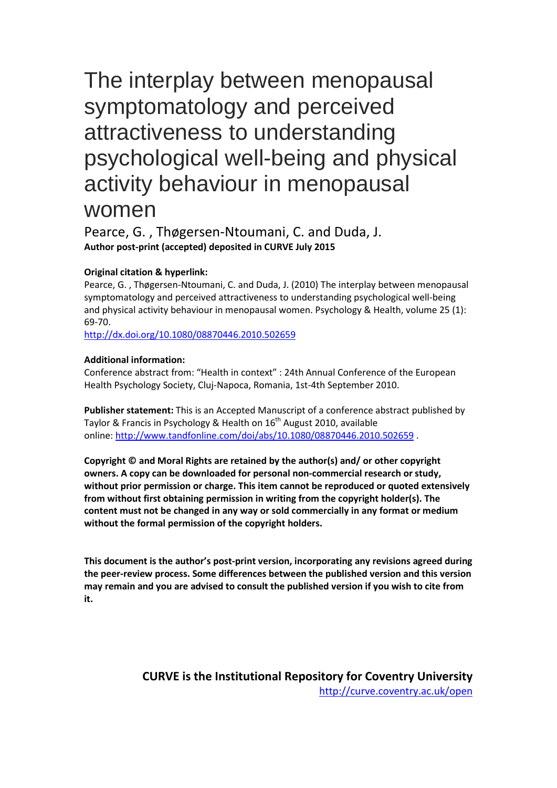# The interplay between menopausal symptomatology and perceived attractiveness to understanding psychological well-being and physical activity behaviour in menopausal

## women

Pearce, G. , Thøgersen-Ntoumani, C. and Duda, J. **Author post-print (accepted) deposited in CURVE July 2015**

#### **Original citation & hyperlink:**

Pearce, G. , Thøgersen-Ntoumani, C. and Duda, J. (2010) The interplay between menopausal symptomatology and perceived attractiveness to understanding psychological well-being and physical activity behaviour in menopausal women. Psychology & Health, volume 25 (1): 69-70.

<http://dx.doi.org/10.1080/08870446.2010.502659>

#### **Additional information:**

Conference abstract from: "Health in context" : 24th Annual Conference of the European Health Psychology Society, Cluj-Napoca, Romania, 1st-4th September 2010.

**Publisher statement:** This is an Accepted Manuscript of a conference abstract published by Taylor & Francis in Psychology & Health on 16<sup>th</sup> August 2010, available online:<http://www.tandfonline.com/doi/abs/10.1080/08870446.2010.502659> .

**Copyright © and Moral Rights are retained by the author(s) and/ or other copyright owners. A copy can be downloaded for personal non-commercial research or study, without prior permission or charge. This item cannot be reproduced or quoted extensively from without first obtaining permission in writing from the copyright holder(s). The content must not be changed in any way or sold commercially in any format or medium without the formal permission of the copyright holders.** 

**This document is the author's post-print version, incorporating any revisions agreed during the peer-review process. Some differences between the published version and this version may remain and you are advised to consult the published version if you wish to cite from it.** 

> **CURVE is the Institutional Repository for Coventry University** <http://curve.coventry.ac.uk/open>